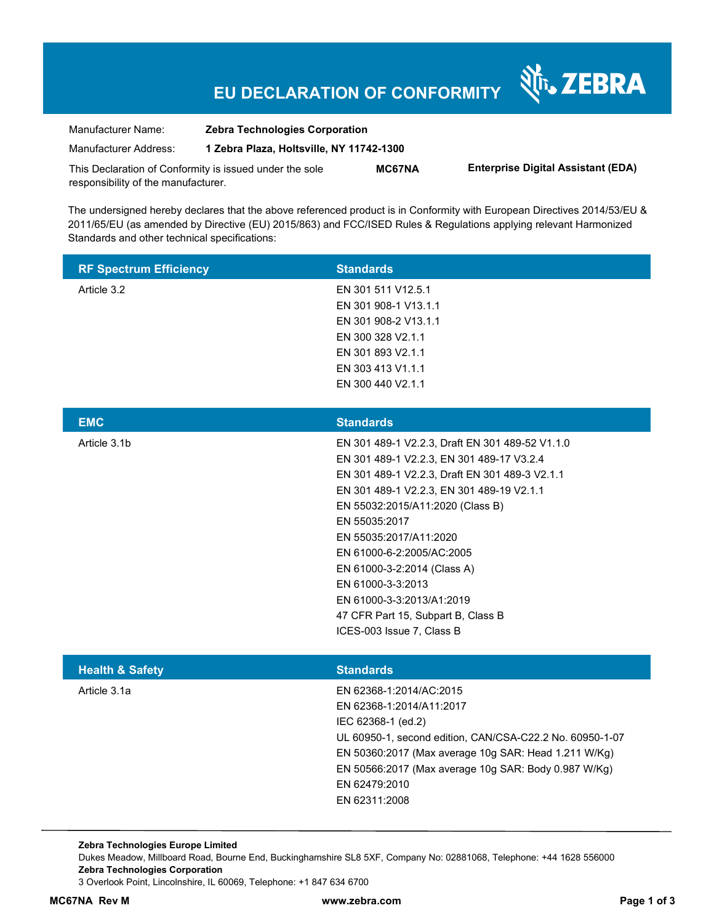# **EU DECLARATION OF CONFORMITY**

Nr. ZEBRA

| Manufacturer Name:                                      | <b>Zebra Technologies Corporation</b>    |               |                                           |
|---------------------------------------------------------|------------------------------------------|---------------|-------------------------------------------|
| Manufacturer Address:                                   | 1 Zebra Plaza, Holtsville, NY 11742-1300 |               |                                           |
| This Declaration of Conformity is issued under the sole |                                          | <b>MC67NA</b> | <b>Enterprise Digital Assistant (EDA)</b> |
| responsibility of the manufacturer.                     |                                          |               |                                           |

The undersigned hereby declares that the above referenced product is in Conformity with European Directives 2014/53/EU & 2011/65/EU (as amended by Directive (EU) 2015/863) and FCC/ISED Rules & Regulations applying relevant Harmonized Standards and other technical specifications:

| <b>RF Spectrum Efficiency</b> | <b>Standards</b>                                                                                                                                                                                                                                                                                                                                                                                                                                            |
|-------------------------------|-------------------------------------------------------------------------------------------------------------------------------------------------------------------------------------------------------------------------------------------------------------------------------------------------------------------------------------------------------------------------------------------------------------------------------------------------------------|
| Article 3.2                   | EN 301 511 V12.5.1<br>EN 301 908-1 V13.1.1<br>EN 301 908-2 V13.1.1<br>EN 300 328 V2.1.1<br>EN 301 893 V2.1.1<br>EN 303 413 V1.1.1<br>EN 300 440 V2.1.1                                                                                                                                                                                                                                                                                                      |
| <b>EMC</b>                    | <b>Standards</b>                                                                                                                                                                                                                                                                                                                                                                                                                                            |
| Article 3.1b                  | EN 301 489-1 V2.2.3, Draft EN 301 489-52 V1.1.0<br>EN 301 489-1 V2.2.3, EN 301 489-17 V3.2.4<br>EN 301 489-1 V2.2.3, Draft EN 301 489-3 V2.1.1<br>EN 301 489-1 V2.2.3, EN 301 489-19 V2.1.1<br>EN 55032:2015/A11:2020 (Class B)<br>EN 55035:2017<br>EN 55035:2017/A11:2020<br>EN 61000-6-2:2005/AC:2005<br>EN 61000-3-2:2014 (Class A)<br>EN 61000-3-3:2013<br>EN 61000-3-3:2013/A1:2019<br>47 CFR Part 15, Subpart B, Class B<br>ICES-003 Issue 7, Class B |
| <b>Health &amp; Safety</b>    | <b>Standards</b>                                                                                                                                                                                                                                                                                                                                                                                                                                            |
| Article 3.1a                  | EN 62368-1:2014/AC:2015<br>EN 62368-1:2014/A11:2017<br>IEC 62368-1 (ed.2)<br>UL 60950-1, second edition, CAN/CSA-C22.2 No. 60950-1-07<br>EN 50360:2017 (Max average 10g SAR: Head 1.211 W/Kg)<br>EN 50566:2017 (Max average 10g SAR: Body 0.987 W/Kg)<br>EN 62479:2010<br>EN 62311:2008                                                                                                                                                                     |

**Zebra Technologies Europe Limited**  Dukes Meadow, Millboard Road, Bourne End, Buckinghamshire SL8 5XF, Company No: 02881068, Telephone: +44 1628 556000 **Zebra Technologies Corporation**  3 Overlook Point, Lincolnshire, IL 60069, Telephone: +1 847 634 6700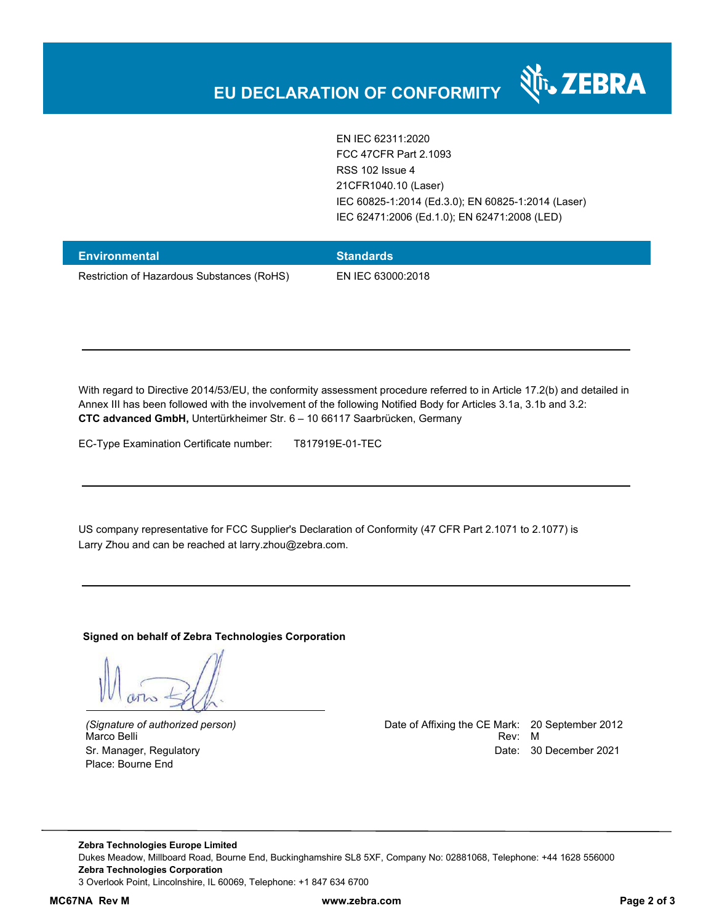

EN IEC 62311:2020 FCC 47CFR Part 2.1093 RSS 102 Issue 4 21CFR1040.10 (Laser) IEC 60825-1:2014 (Ed.3.0); EN 60825-1:2014 (Laser) IEC 62471:2006 (Ed.1.0); EN 62471:2008 (LED)

| <b>Environmental</b>                       | <b>Standards</b>  |
|--------------------------------------------|-------------------|
| Restriction of Hazardous Substances (RoHS) | EN IEC 63000:2018 |

With regard to Directive 2014/53/EU, the conformity assessment procedure referred to in Article 17.2(b) and detailed in Annex III has been followed with the involvement of the following Notified Body for Articles 3.1a, 3.1b and 3.2: **CTC advanced GmbH,** Untertürkheimer Str. 6 – 10 66117 Saarbrücken, Germany

EC-Type Examination Certificate number: T817919E-01-TEC

US company representative for FCC Supplier's Declaration of Conformity (47 CFR Part 2.1071 to 2.1077) is Larry Zhou and can be reached at larry.zhou@zebra.com.

**Signed on behalf of Zebra Technologies Corporation** 

Place: Bourne End

*(Signature of authorized person)* Date of Affixing the CE Mark: 20 September 2012 Marco Belli Rev: Microsoft Communication of the Communication of the Communication of the Communication of the Communication of the Communication of the Communication of the Communication of the Communication of the Commun Sr. Manager, Regulatory **Date: 30 December 2021 Date: 30 December 2021** 

**Zebra Technologies Europe Limited**  Dukes Meadow, Millboard Road, Bourne End, Buckinghamshire SL8 5XF, Company No: 02881068, Telephone: +44 1628 556000 **Zebra Technologies Corporation**  3 Overlook Point, Lincolnshire, IL 60069, Telephone: +1 847 634 6700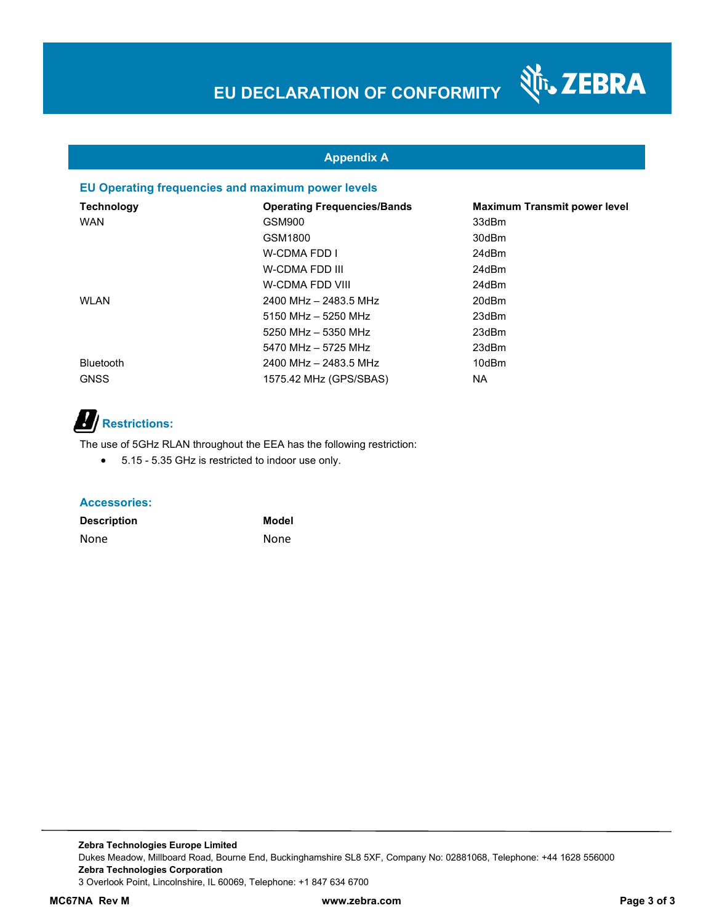Nr. ZEBRA

### **Appendix A**

#### **EU Operating frequencies and maximum power levels**

| <b>Technology</b> | <b>Operating Frequencies/Bands</b> | <b>Maximum Transmit power level</b> |
|-------------------|------------------------------------|-------------------------------------|
| <b>WAN</b>        | GSM900                             | 33dBm                               |
|                   | GSM1800                            | 30dBm                               |
|                   | W-CDMA FDD I                       | 24dBm                               |
|                   | W-CDMA FDD III                     | 24dBm                               |
|                   | W-CDMA FDD VIII                    | 24dBm                               |
| <b>WLAN</b>       | 2400 MHz - 2483.5 MHz              | 20dBm                               |
|                   | $5150$ MHz $-$ 5250 MHz            | 23dBm                               |
|                   | 5250 MHz - 5350 MHz                | 23dBm                               |
|                   | 5470 MHz - 5725 MHz                | 23dBm                               |
| <b>Bluetooth</b>  | 2400 MHz - 2483.5 MHz              | 10dBm                               |
| <b>GNSS</b>       | 1575.42 MHz (GPS/SBAS)             | NA.                                 |

# **Restrictions:**

The use of 5GHz RLAN throughout the EEA has the following restriction:

5.15 - 5.35 GHz is restricted to indoor use only.

#### **Accessories:**

| <b>Description</b> | Model       |
|--------------------|-------------|
| None               | <b>None</b> |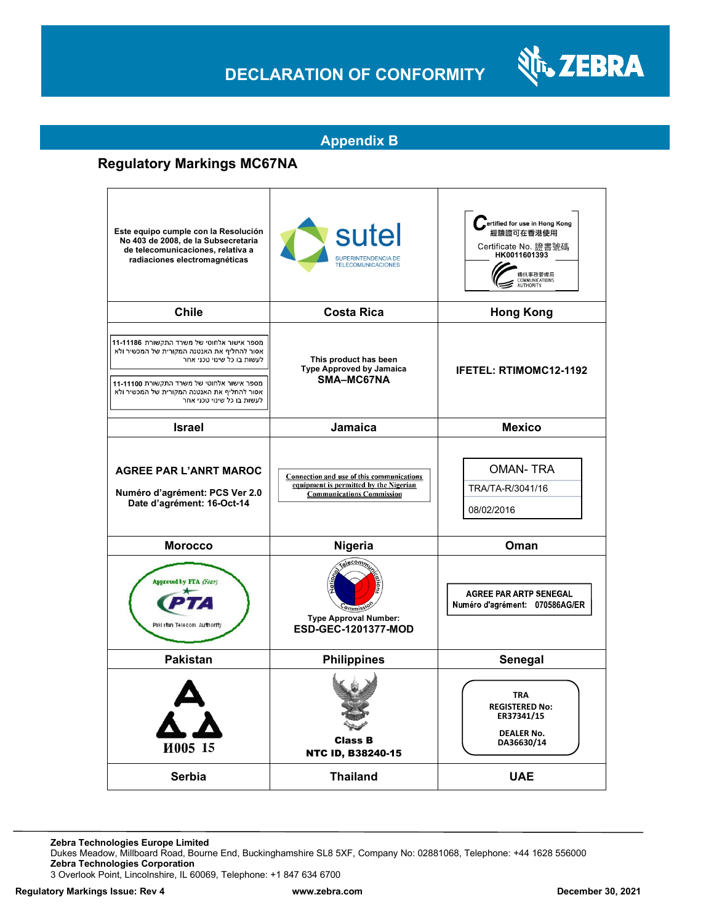## **DECLARATION OF CONFORMITY**



### **Appendix B**

## **Regulatory Markings MC67NA**

| Este equipo cumple con la Resolución<br>No 403 de 2008, de la Subsecretaria<br>de telecomunicaciones, relativa a<br>radiaciones electromagnéticas                                                                                                 | sutel<br>SUPERINTENDENCIA DE<br><b>TELECOMUNICACIONES</b>                                                               | ertified for use in Hong Kong<br>經驗證可在香港使用<br>Certificate No. 證書號碼<br>HK0011601393<br>通訊事務管理局<br><b>COMMUNICATIONS</b><br>AUTHORITY |
|---------------------------------------------------------------------------------------------------------------------------------------------------------------------------------------------------------------------------------------------------|-------------------------------------------------------------------------------------------------------------------------|-------------------------------------------------------------------------------------------------------------------------------------|
| <b>Chile</b>                                                                                                                                                                                                                                      | <b>Costa Rica</b>                                                                                                       | <b>Hong Kong</b>                                                                                                                    |
| מספר אישור אלחוטי של משרד התקשורת 11-11186<br>אסור להחליף את האנטנה המקורית של המכשיר ולא<br>לעשות בו כל שינוי טכני אחר<br>מספר אישור אלחוטי של משרד התקשורת 11-1100<br>אסור להחליף את האנטנה המקורית של המכשיר ולא<br>לעשות בו כל שינוי טכני אחר | This product has been<br><b>Type Approved by Jamaica</b><br>SMA-MC67NA                                                  | <b>IFETEL: RTIMOMC12-1192</b>                                                                                                       |
| <b>Israel</b>                                                                                                                                                                                                                                     | Jamaica                                                                                                                 | <b>Mexico</b>                                                                                                                       |
| <b>AGREE PAR L'ANRT MAROC</b><br>Numéro d'agrément: PCS Ver 2.0<br>Date d'agrément: 16-Oct-14                                                                                                                                                     | Connection and use of this communications<br>equipment is permitted by the Nigerian<br><b>Communications Commission</b> | <b>OMAN-TRA</b><br>TRA/TA-R/3041/16<br>08/02/2016                                                                                   |
| <b>Morocco</b>                                                                                                                                                                                                                                    | Nigeria                                                                                                                 | Oman                                                                                                                                |
| Approved by FTA (Year)<br>Paki stan Telecom Authority                                                                                                                                                                                             | econ<br><b>Type Approval Number:</b><br><b>ESD-GEC-1201377-MOD</b>                                                      | <b>AGREE PAR ARTP SENEGAL</b><br>Numéro d'agrément: 070586AG/ER                                                                     |
| <b>Pakistan</b>                                                                                                                                                                                                                                   | <b>Philippines</b>                                                                                                      | Senegal                                                                                                                             |
| И005 15                                                                                                                                                                                                                                           | <b>Class B</b><br><b>NTC ID, B38240-15</b>                                                                              | <b>TRA</b><br><b>REGISTERED No:</b><br>ER37341/15<br><b>DEALER No.</b><br>DA36630/14                                                |
| Serbia                                                                                                                                                                                                                                            | <b>Thailand</b>                                                                                                         | <b>UAE</b>                                                                                                                          |

**Zebra Technologies Europe Limited**

Dukes Meadow, Millboard Road, Bourne End, Buckinghamshire SL8 5XF, Company No: 02881068, Telephone: +44 1628 556000 **Zebra Technologies Corporation** 

3 Overlook Point, Lincolnshire, IL 60069, Telephone: +1 847 634 6700